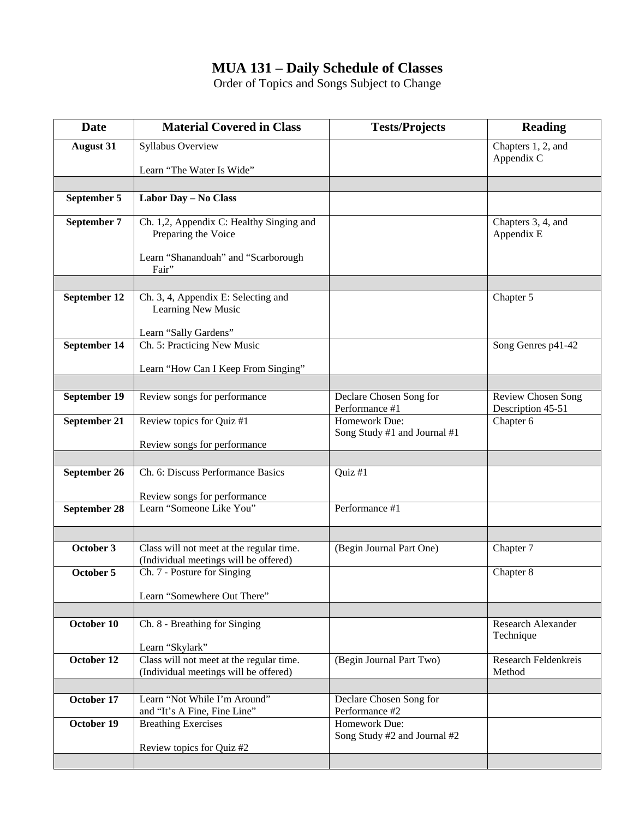## **MUA 131 – Daily Schedule of Classes**

Order of Topics and Songs Subject to Change

| <b>Date</b>      | <b>Material Covered in Class</b>                                                  | <b>Tests/Projects</b>                         | <b>Reading</b>                                 |
|------------------|-----------------------------------------------------------------------------------|-----------------------------------------------|------------------------------------------------|
| <b>August 31</b> | Syllabus Overview                                                                 |                                               | Chapters 1, 2, and                             |
|                  | Learn "The Water Is Wide"                                                         |                                               | Appendix C                                     |
|                  |                                                                                   |                                               |                                                |
| September 5      | Labor Day - No Class                                                              |                                               |                                                |
| September 7      | Ch. 1,2, Appendix C: Healthy Singing and<br>Preparing the Voice                   |                                               | Chapters 3, 4, and<br>Appendix E               |
|                  | Learn "Shanandoah" and "Scarborough<br>Fair"                                      |                                               |                                                |
|                  |                                                                                   |                                               |                                                |
| September 12     | Ch. 3, 4, Appendix E: Selecting and<br>Learning New Music                         |                                               | Chapter 5                                      |
|                  | Learn "Sally Gardens"                                                             |                                               |                                                |
| September 14     | Ch. 5: Practicing New Music                                                       |                                               | Song Genres p41-42                             |
|                  | Learn "How Can I Keep From Singing"                                               |                                               |                                                |
|                  |                                                                                   |                                               |                                                |
| September 19     | Review songs for performance                                                      | Declare Chosen Song for<br>Performance #1     | <b>Review Chosen Song</b><br>Description 45-51 |
| September 21     | Review topics for Quiz #1                                                         | Homework Due:                                 | Chapter 6                                      |
|                  | Review songs for performance                                                      | Song Study #1 and Journal #1                  |                                                |
|                  |                                                                                   |                                               |                                                |
| September 26     | Ch. 6: Discuss Performance Basics                                                 | Quiz #1                                       |                                                |
|                  |                                                                                   |                                               |                                                |
| September 28     | Review songs for performance<br>Learn "Someone Like You"                          | Performance #1                                |                                                |
|                  |                                                                                   |                                               |                                                |
|                  |                                                                                   |                                               |                                                |
| October 3        | Class will not meet at the regular time.                                          | (Begin Journal Part One)                      | Chapter 7                                      |
| October 5        | (Individual meetings will be offered)                                             |                                               |                                                |
|                  | Ch. 7 - Posture for Singing                                                       |                                               | Chapter 8                                      |
|                  | Learn "Somewhere Out There"                                                       |                                               |                                                |
|                  |                                                                                   |                                               |                                                |
| October 10       | Ch. 8 - Breathing for Singing                                                     |                                               | <b>Research Alexander</b>                      |
|                  | Learn "Skylark"                                                                   |                                               | Technique                                      |
| October 12       | Class will not meet at the regular time.<br>(Individual meetings will be offered) | (Begin Journal Part Two)                      | <b>Research Feldenkreis</b><br>Method          |
|                  |                                                                                   |                                               |                                                |
| October 17       | Learn "Not While I'm Around"                                                      | Declare Chosen Song for                       |                                                |
|                  | and "It's A Fine, Fine Line"                                                      | Performance #2                                |                                                |
| October 19       | <b>Breathing Exercises</b>                                                        | Homework Due:<br>Song Study #2 and Journal #2 |                                                |
|                  | Review topics for Quiz #2                                                         |                                               |                                                |
|                  |                                                                                   |                                               |                                                |